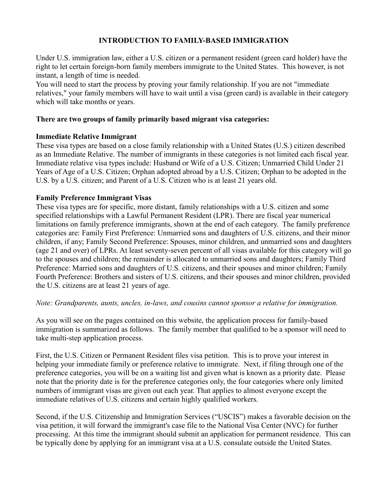# **INTRODUCTION TO FAMILY-BASED IMMIGRATION**

Under U.S. immigration law, either a U.S. citizen or a permanent resident (green card holder) have the right to let certain foreign-born family members immigrate to the United States. This however, is not instant, a length of time is needed.

You will need to start the process by proving your family relationship. If you are not "immediate relatives," your family members will have to wait until a visa (green card) is available in their category which will take months or years.

## **There are two groups of family primarily based migrant visa categories:**

### **Immediate Relative Immigrant**

These visa types are based on a close family relationship with a United States (U.S.) citizen described as an Immediate Relative. The number of immigrants in these categories is not limited each fiscal year. Immediate relative visa types include: Husband or Wife of a U.S. Citizen; Unmarried Child Under 21 Years of Age of a U.S. Citizen; Orphan adopted abroad by a U.S. Citizen; Orphan to be adopted in the U.S. by a U.S. citizen; and Parent of a U.S. Citizen who is at least 21 years old.

### **Family Preference Immigrant Visas**

These visa types are for specific, more distant, family relationships with a U.S. citizen and some specified relationships with a Lawful Permanent Resident (LPR). There are fiscal year numerical limitations on family preference immigrants, shown at the end of each category. The family preference categories are: Family First Preference: Unmarried sons and daughters of U.S. citizens, and their minor children, if any; Family Second Preference: Spouses, minor children, and unmarried sons and daughters (age 21 and over) of LPRs. At least seventy-seven percent of all visas available for this category will go to the spouses and children; the remainder is allocated to unmarried sons and daughters; Family Third Preference: Married sons and daughters of U.S. citizens, and their spouses and minor children; Family Fourth Preference: Brothers and sisters of U.S. citizens, and their spouses and minor children, provided the U.S. citizens are at least 21 years of age.

#### *Note: Grandparents, aunts, uncles, in-laws, and cousins cannot sponsor a relative for immigration.*

As you will see on the pages contained on this website, the application process for family-based immigration is summarized as follows. The family member that qualified to be a sponsor will need to take multi-step application process.

First, the U.S. Citizen or Permanent Resident files visa petition. This is to prove your interest in helping your immediate family or preference relative to immigrate. Next, if filing through one of the preference categories, you will be on a waiting list and given what is known as a priority date. Please note that the priority date is for the preference categories only, the four categories where only limited numbers of immigrant visas are given out each year. That applies to almost everyone except the immediate relatives of U.S. citizens and certain highly qualified workers.

Second, if the U.S. Citizenship and Immigration Services ("USCIS") makes a favorable decision on the visa petition, it will forward the immigrant's case file to the National Visa Center (NVC) for further processing. At this time the immigrant should submit an application for permanent residence. This can be typically done by applying for an immigrant visa at a U.S. consulate outside the United States.